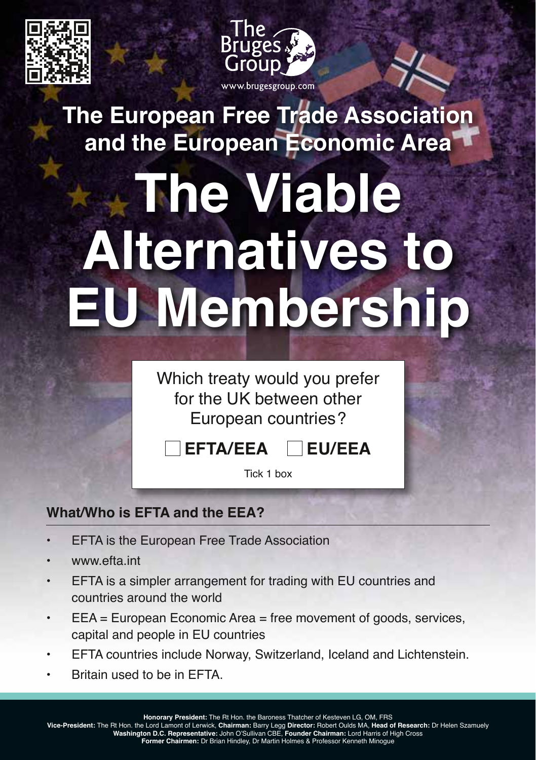



**The European Free Trade Association and the European Economic Area**

# **The Viable Alternatives to EU Membership**

Which treaty would you prefer for the UK between other European countries?

**EFTA/EEA EU/EEA**

Tick 1 box

# **What/Who is EFTA and the EEA?**

- EFTA is the European Free Trade Association
- www.efta.int
- EFTA is a simpler arrangement for trading with EU countries and countries around the world
- EEA = European Economic Area = free movement of goods, services, capital and people in EU countries
- EFTA countries include Norway, Switzerland, Iceland and Lichtenstein.
- Britain used to be in EFTA.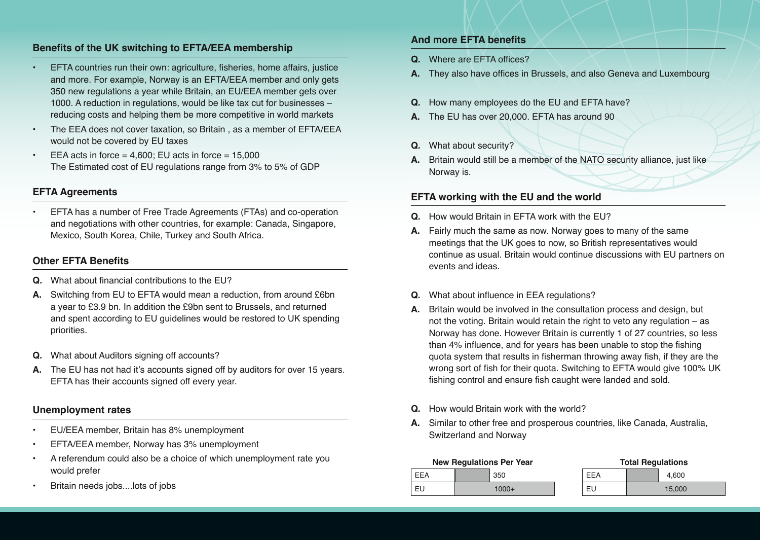# **Benefits of the UK switching to EFTA/EEA membership**

- EFTA countries run their own: agriculture, fisheries, home affairs, justice and more. For example, Norway is an EFTA/EEA member and only gets 350 new regulations a year while Britain, an EU/EEA member gets over 1000. A reduction in regulations, would be like tax cut for businesses – reducing costs and helping them be more competitive in world markets
- The EEA does not cover taxation, so Britain , as a member of EFTA/EEA would not be covered by EU taxes
- $\cdot$  EEA acts in force = 4,600; EU acts in force = 15,000 The Estimated cost of EU regulations range from 3% to 5% of GDP

# **EFTA Agreements**

• EFTA has a number of Free Trade Agreements (FTAs) and co-operation and negotiations with other countries, for example: Canada, Singapore, Mexico, South Korea, Chile, Turkey and South Africa.

# **Other EFTA Benefits**

- **Q.** What about financial contributions to the EU?
- **A.** Switching from EU to EFTA would mean a reduction, from around £6bn a year to £3.9 bn. In addition the £9bn sent to Brussels, and returned and spent according to EU guidelines would be restored to UK spending priorities.
- **Q.** What about Auditors signing off accounts?
- **A.** The EU has not had it's accounts signed off by auditors for over 15 years. EFTA has their accounts signed off every year.

## **Unemployment rates**

- EU/EEA member, Britain has 8% unemployment
- EFTA/EEA member, Norway has 3% unemployment
- A referendum could also be a choice of which unemployment rate you would prefer
- Britain needs jobs....lots of jobs

# **And more EFTA benefits**

- **Q.** Where are EFTA offices?
- **A.** They also have offices in Brussels, and also Geneva and Luxembourg
- **Q.** How many employees do the EU and EFTA have?
- **A.** The EU has over 20,000. EFTA has around 90
- **Q.** What about security?
- **A.** Britain would still be a member of the NATO security alliance, just like Norway is.

# **EFTA working with the EU and the world**

- **Q.** How would Britain in EFTA work with the EU?
- **A.** Fairly much the same as now. Norway goes to many of the same meetings that the UK goes to now, so British representatives would continue as usual. Britain would continue discussions with EU partners on events and ideas.
- **Q.** What about influence in EEA regulations?
- **A.** Britain would be involved in the consultation process and design, but not the voting. Britain would retain the right to veto any regulation – as Norway has done. However Britain is currently 1 of 27 countries, so less than 4% influence, and for years has been unable to stop the fishing quota system that results in fisherman throwing away fish, if they are the wrong sort of fish for their quota. Switching to EFTA would give 100% UK fishing control and ensure fish caught were landed and sold.
- **Q.** How would Britain work with the world?
- **A.** Similar to other free and prosperous countries, like Canada, Australia, Switzerland and Norway

| <b>New Regulations Per Year</b> |          | <b>Total Regulations</b> |        |  |
|---------------------------------|----------|--------------------------|--------|--|
| EEA                             | 350      | EEA                      | 4.600  |  |
| ΕL                              | $1000 +$ | EU                       | 15.000 |  |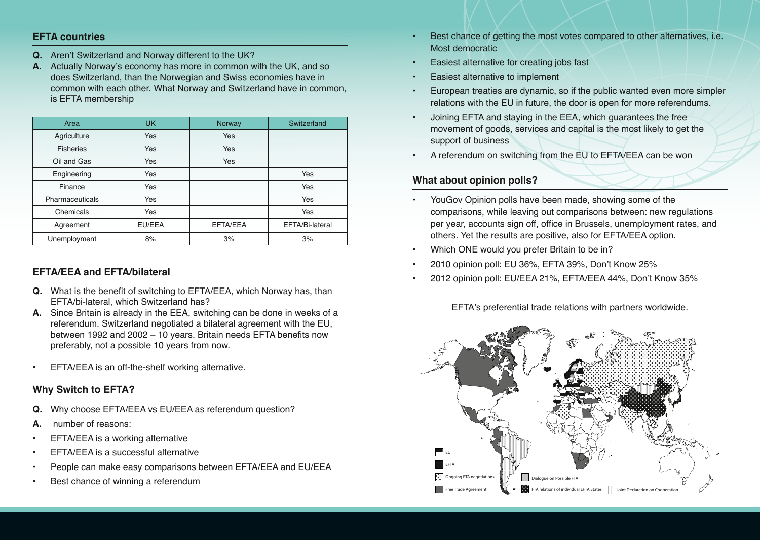## **EFTA countries**

- **Q.** Aren't Switzerland and Norway different to the UK?
- **A.** Actually Norway's economy has more in common with the UK, and so does Switzerland, than the Norwegian and Swiss economies have in common with each other. What Norway and Switzerland have in common, is EFTA membership

| Area             | <b>UK</b>     | Norway   | Switzerland     |
|------------------|---------------|----------|-----------------|
| Agriculture      | Yes           | Yes      |                 |
| <b>Fisheries</b> | Yes           | Yes      |                 |
| Oil and Gas      | Yes           | Yes      |                 |
| Engineering      | Yes           |          | Yes             |
| Finance          | Yes           |          | Yes             |
| Pharmaceuticals  | Yes           |          | Yes             |
| Chemicals        | Yes           |          | Yes             |
| Agreement        | <b>EU/EEA</b> | EFTA/EEA | EFTA/Bi-lateral |
| Unemployment     | 8%            | 3%       | 3%              |

# **EFTA/EEA and EFTA/bilateral**

- **Q.** What is the benefit of switching to EFTA/EEA, which Norway has, than EFTA/bi-lateral, which Switzerland has?
- **A.** Since Britain is already in the EEA, switching can be done in weeks of a referendum. Switzerland negotiated a bilateral agreement with the EU, between 1992 and 2002 – 10 years. Britain needs EFTA benefits now preferably, not a possible 10 years from now.
- EFTA/EEA is an off-the-shelf working alternative.

## **Why Switch to EFTA?**

- **Q.** Why choose EFTA/EEA vs EU/EEA as referendum question?
- **A.** number of reasons:
- EFTA/EEA is a working alternative
- EFTA/EEA is a successful alternative
- People can make easy comparisons between EFTA/EEA and EU/EEA
- Best chance of winning a referendum
- Best chance of getting the most votes compared to other alternatives, i.e. Most democratic
- Easiest alternative for creating jobs fast
- Easiest alternative to implement
- European treaties are dynamic, so if the public wanted even more simpler relations with the EU in future, the door is open for more referendums.
- Joining EFTA and staying in the EEA, which guarantees the free movement of goods, services and capital is the most likely to get the support of business
- A referendum on switching from the EU to EFTA/EEA can be won

# **What about opinion polls?**

- YouGov Opinion polls have been made, showing some of the comparisons, while leaving out comparisons between: new regulations per year, accounts sign off, office in Brussels, unemployment rates, and others. Yet the results are positive, also for EFTA/EEA option.
- Which ONE would you prefer Britain to be in?
- 2010 opinion poll: EU 36%, EFTA 39%, Don't Know 25%
- 2012 opinion poll: EU/EEA 21%, EFTA/EEA 44%, Don't Know 35%

EFTA's preferential trade relations with partners worldwide.

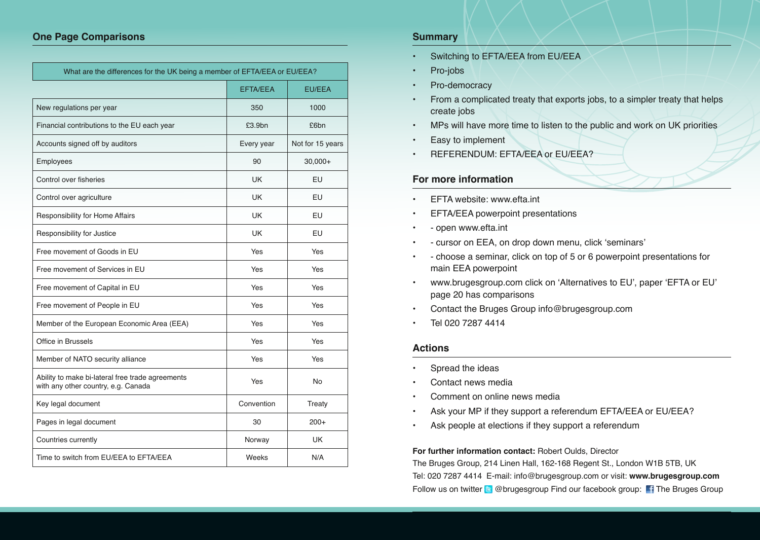| What are the differences for the UK being a member of EFTA/EEA or EU/EEA?               |                 |                  |  |  |  |
|-----------------------------------------------------------------------------------------|-----------------|------------------|--|--|--|
|                                                                                         | <b>EFTA/EEA</b> | <b>EU/EEA</b>    |  |  |  |
| New regulations per year                                                                | 350             | 1000             |  |  |  |
| Financial contributions to the EU each year                                             | £3.9bn          | £6bn             |  |  |  |
| Accounts signed off by auditors                                                         | Every year      | Not for 15 years |  |  |  |
| Employees                                                                               | 90              | $30,000+$        |  |  |  |
| Control over fisheries                                                                  | UK              | EU               |  |  |  |
| Control over agriculture                                                                | UK              | EU               |  |  |  |
| Responsibility for Home Affairs                                                         | <b>UK</b>       | EU               |  |  |  |
| Responsibility for Justice                                                              | UK              | EU               |  |  |  |
| Free movement of Goods in EU                                                            | Yes             | Yes              |  |  |  |
| Free movement of Services in EU                                                         | Yes             | Yes              |  |  |  |
| Free movement of Capital in EU                                                          | Yes             | Yes              |  |  |  |
| Free movement of People in EU                                                           | Yes             | Yes              |  |  |  |
| Member of the European Economic Area (EEA)                                              | Yes             | Yes              |  |  |  |
| Office in Brussels                                                                      | Yes             | Yes              |  |  |  |
| Member of NATO security alliance                                                        | Yes             | Yes              |  |  |  |
| Ability to make bi-lateral free trade agreements<br>with any other country, e.g. Canada | Yes             | <b>No</b>        |  |  |  |
| Key legal document                                                                      | Convention      | Treaty           |  |  |  |
| Pages in legal document                                                                 | 30              | $200+$           |  |  |  |
| Countries currently                                                                     | Norway          | <b>UK</b>        |  |  |  |
| Time to switch from EU/EEA to EFTA/EEA                                                  | Weeks           | N/A              |  |  |  |

## **Summary**

- Switching to EFTA/EEA from EU/EEA
- Pro-jobs
- Pro-democracy
- From a complicated treaty that exports jobs, to a simpler treaty that helps create jobs
- MPs will have more time to listen to the public and work on UK priorities
- Easy to implement
- REFERENDUM: EFTA/EEA or EU/EEA?

# **For more information**

- EFTA website: www.efta.int
- EFTA/EEA powerpoint presentations
- - open www.efta.int
- - cursor on EEA, on drop down menu, click 'seminars'
- - choose a seminar, click on top of 5 or 6 powerpoint presentations for main EEA powerpoint
- www.brugesgroup.com click on 'Alternatives to EU', paper 'EFTA or EU' page 20 has comparisons
- Contact the Bruges Group info@brugesgroup.com
- Tel 020 7287 4414

# **Actions**

- Spread the ideas
- Contact news media
- Comment on online news media
- Ask your MP if they support a referendum EFTA/EEA or EU/EEA?
- Ask people at elections if they support a referendum

## **For further information contact:** Robert Oulds, Director

The Bruges Group, 214 Linen Hall, 162-168 Regent St., London W1B 5TB, UK Tel: 020 7287 4414 E-mail: info@brugesgroup.com or visit: **www.brugesgroup.com** Follow us on twitter **&** @brugesgroup Find our facebook group: The Bruges Group